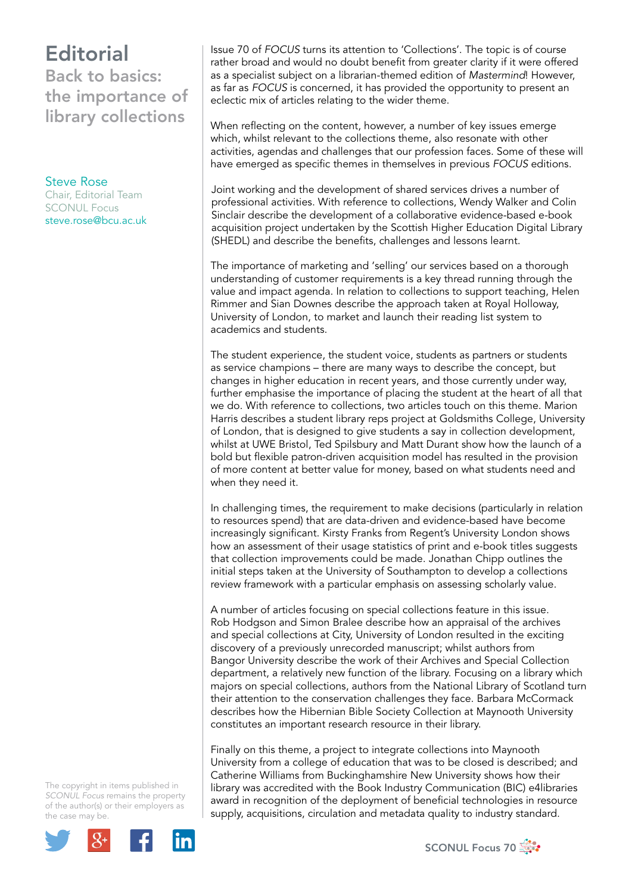## **Editorial** Back to basics: the importance of library collections

Steve Rose Chair, Editorial Team SCONUL Focus [steve.rose@bcu.ac.uk](mailto:steve.rose@bcu.ac.uk)

Issue 70 of *FOCUS* turns its attention to 'Collections'. The topic is of course rather broad and would no doubt benefit from greater clarity if it were offered as a specialist subject on a librarian-themed edition of *Mastermind*! However, as far as *FOCUS* is concerned, it has provided the opportunity to present an eclectic mix of articles relating to the wider theme.

When reflecting on the content, however, a number of key issues emerge which, whilst relevant to the collections theme, also resonate with other activities, agendas and challenges that our profession faces. Some of these will have emerged as specific themes in themselves in previous *FOCUS* editions.

Joint working and the development of shared services drives a number of professional activities. With reference to collections, Wendy Walker and Colin Sinclair describe the development of a collaborative evidence-based e-book acquisition project undertaken by the Scottish Higher Education Digital Library (SHEDL) and describe the benefits, challenges and lessons learnt.

The importance of marketing and 'selling' our services based on a thorough understanding of customer requirements is a key thread running through the value and impact agenda. In relation to collections to support teaching, Helen Rimmer and Sian Downes describe the approach taken at Royal Holloway, University of London, to market and launch their reading list system to academics and students.

The student experience, the student voice, students as partners or students as service champions – there are many ways to describe the concept, but changes in higher education in recent years, and those currently under way, further emphasise the importance of placing the student at the heart of all that we do. With reference to collections, two articles touch on this theme. Marion Harris describes a student library reps project at Goldsmiths College, University of London, that is designed to give students a say in collection development, whilst at UWE Bristol, Ted Spilsbury and Matt Durant show how the launch of a bold but flexible patron-driven acquisition model has resulted in the provision of more content at better value for money, based on what students need and when they need it.

In challenging times, the requirement to make decisions (particularly in relation to resources spend) that are data-driven and evidence-based have become increasingly significant. Kirsty Franks from Regent's University London shows how an assessment of their usage statistics of print and e-book titles suggests that collection improvements could be made. Jonathan Chipp outlines the initial steps taken at the University of Southampton to develop a collections review framework with a particular emphasis on assessing scholarly value.

A number of articles focusing on special collections feature in this issue. Rob Hodgson and Simon Bralee describe how an appraisal of the archives and special collections at City, University of London resulted in the exciting discovery of a previously unrecorded manuscript; whilst authors from Bangor University describe the work of their Archives and Special Collection department, a relatively new function of the library. Focusing on a library which majors on special collections, authors from the National Library of Scotland turn their attention to the conservation challenges they face. Barbara McCormack describes how the Hibernian Bible Society Collection at Maynooth University constitutes an important research resource in their library.

Finally on this theme, a project to integrate collections into Maynooth University from a college of education that was to be closed is described; and Catherine Williams from Buckinghamshire New University shows how their library was accredited with the Book Industry Communication (BIC) e4libraries award in recognition of the deployment of beneficial technologies in resource supply, acquisitions, circulation and metadata quality to industry standard.

The copyright in items published in *SCONUL Focus* remains the property of the author(s) or their employers as the case may be.